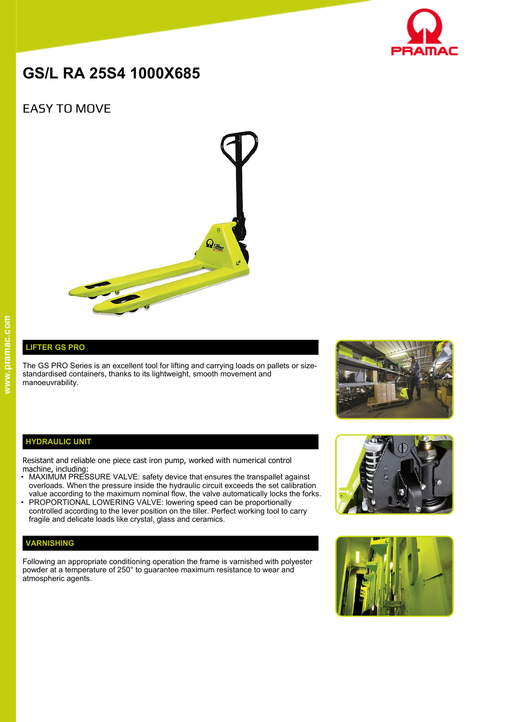

# **GS/L RA 25S4 1000X685**

# EASY TO MOVE



## **LIFTER GS PRO**

The GS PRO Series is an excellent tool for lifting and carrying loads on pallets or sizestandardised containers, thanks to its lightweight, smooth movement and manoeuvrability.



#### **HYDRAULIC UNIT**

Resistant and reliable one piece cast iron pump, worked with numerical control machine, including:

- MAXIMUM PRESSURE VALVE: safety device that ensures the transpallet against overloads. When the pressure inside the hydraulic circuit exceeds the set calibration value according to the maximum nominal flow, the valve automatically locks the forks.
- PROPORTIONAL LOWERING VALVE: lowering speed can be proportionally controlled according to the lever position on the tiller. Perfect working tool to carry fragile and delicate loads like crystal, glass and ceramics.

### **VARNISHING**

Following an appropriate conditioning operation the frame is varnished with polyester powder at a temperature of 250° to guarantee maximum resistance to wear and atmospheric agents.



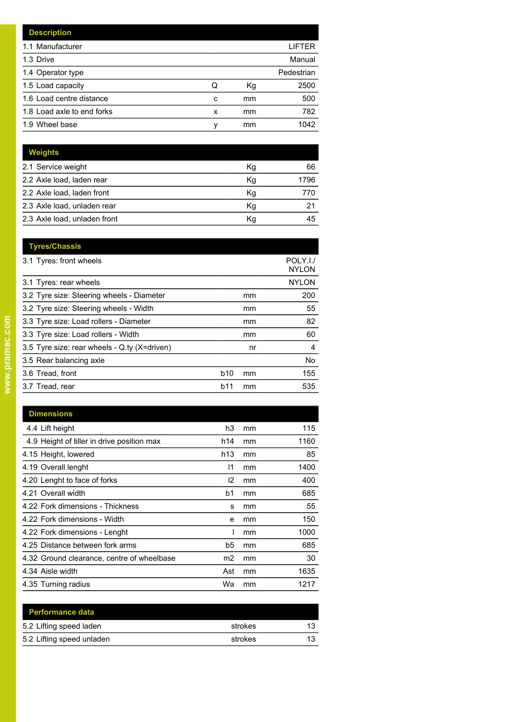|   |    | LIFTER     |
|---|----|------------|
|   |    | Manual     |
|   |    | Pedestrian |
| Q | Кg | 2500       |
| c | mm | 500        |
| x | mm | 782        |
| ν | mm | 1042       |
|   |    |            |

| <b>Weights</b>               |    |      |
|------------------------------|----|------|
| 2.1 Service weight           | Кg | 66   |
| 2.2 Axle load, laden rear    | Kg | 1796 |
| 2.2 Axle load, laden front   | Kg | 770  |
| 2.3 Axle load, unladen rear  | Κq | 21   |
| 2.3 Axle load, unladen front | Κq | 45   |

|            |    | POLY.I./<br><b>NYLON</b> |
|------------|----|--------------------------|
|            |    | <b>NYLON</b>             |
|            | mm | 200                      |
|            | mm | 55                       |
|            | mm | 82                       |
|            | mm | 60                       |
|            | nr | 4                        |
|            |    | No.                      |
| <b>b10</b> | mm | 155                      |
| b11        | mm | 535                      |
|            |    |                          |

| <b>Dimensions</b>                          |                 |    |      |
|--------------------------------------------|-----------------|----|------|
| 4.4 Lift height                            | h3              | mm | 115  |
| 4.9 Height of tiller in drive position max | h14             | mm | 1160 |
| 4.15 Height, lowered                       | h <sub>13</sub> | mm | 85   |
| 4.19 Overall lenght                        | 11              | mm | 1400 |
| 4.20 Lenght to face of forks               | l2              | mm | 400  |
| 4.21 Overall width                         | b1              | mm | 685  |
| 4.22 Fork dimensions - Thickness           | s               | mm | 55   |
| 4.22 Fork dimensions - Width               | e               | mm | 150  |
| 4.22 Fork dimensions - Lenght              |                 | mm | 1000 |
| 4.25 Distance between fork arms            | b5              | mm | 685  |
| 4.32 Ground clearance, centre of wheelbase | m2              | mm | 30   |
| 4.34 Aisle width                           | Ast             | mm | 1635 |
| 4.35 Turning radius                        | Wa              | mm | 1217 |

| <b>Performance data</b>   |         |    |
|---------------------------|---------|----|
| 5.2 Lifting speed laden   | strokes | 13 |
| 5.2 Lifting speed unladen | strokes | 13 |
|                           |         |    |